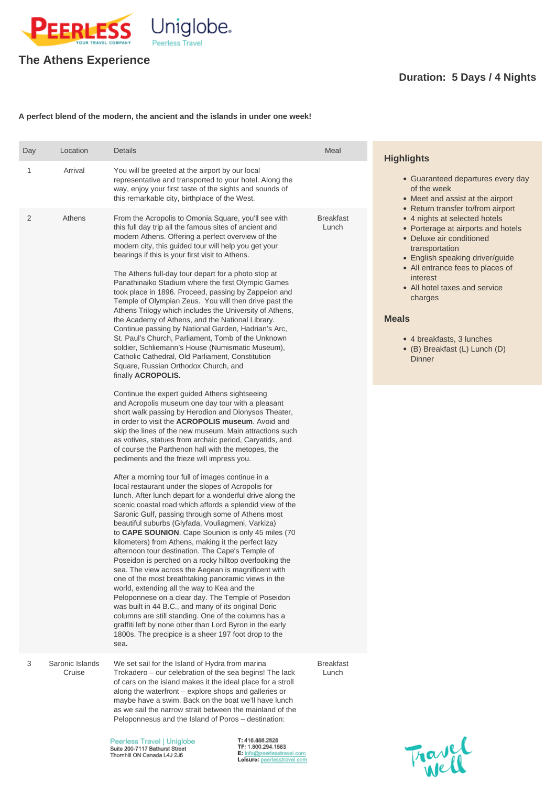

## **The Athens Experience**

## **Duration: 5 Days / 4 Nights**

## **A perfect blend of the modern, the ancient and the islands in under one week!**

3 Saronic Islands **Cruise** 

| Day | Location | <b>Details</b>                                                                                                                                                                                                                                                                                                                                                                                                                                                                                                                                                                                                                                                                                                                                                                                                                                                                                                                                                                                                                                                                                                                            | Meal                      | <b>Highlights</b>                                                                                                                                                                                                                                                                                                                               |  |
|-----|----------|-------------------------------------------------------------------------------------------------------------------------------------------------------------------------------------------------------------------------------------------------------------------------------------------------------------------------------------------------------------------------------------------------------------------------------------------------------------------------------------------------------------------------------------------------------------------------------------------------------------------------------------------------------------------------------------------------------------------------------------------------------------------------------------------------------------------------------------------------------------------------------------------------------------------------------------------------------------------------------------------------------------------------------------------------------------------------------------------------------------------------------------------|---------------------------|-------------------------------------------------------------------------------------------------------------------------------------------------------------------------------------------------------------------------------------------------------------------------------------------------------------------------------------------------|--|
|     | Arrival  | You will be greeted at the airport by our local<br>representative and transported to your hotel. Along the<br>way, enjoy your first taste of the sights and sounds of<br>this remarkable city, birthplace of the West.                                                                                                                                                                                                                                                                                                                                                                                                                                                                                                                                                                                                                                                                                                                                                                                                                                                                                                                    |                           | • Guaranteed departures every day<br>of the week<br>• Meet and assist at the airport<br>• Return transfer to/from airport                                                                                                                                                                                                                       |  |
| 2   | Athens   | From the Acropolis to Omonia Square, you'll see with<br>this full day trip all the famous sites of ancient and<br>modern Athens. Offering a perfect overview of the<br>modern city, this guided tour will help you get your<br>bearings if this is your first visit to Athens.<br>The Athens full-day tour depart for a photo stop at<br>Panathinaiko Stadium where the first Olympic Games<br>took place in 1896. Proceed, passing by Zappeion and<br>Temple of Olympian Zeus. You will then drive past the<br>Athens Trilogy which includes the University of Athens,<br>the Academy of Athens, and the National Library.<br>Continue passing by National Garden, Hadrian's Arc,<br>St. Paul's Church, Parliament, Tomb of the Unknown<br>soldier, Schliemann's House (Numismatic Museum),<br>Catholic Cathedral, Old Parliament, Constitution<br>Square, Russian Orthodox Church, and<br>finally <b>ACROPOLIS.</b>                                                                                                                                                                                                                     | <b>Breakfast</b><br>Lunch | • 4 nights at selected hotels<br>• Porterage at airports and hotels<br>• Deluxe air conditioned<br>transportation<br>• English speaking driver/guide<br>• All entrance fees to places of<br>interest<br>• All hotel taxes and service<br>charges<br><b>Meals</b><br>• 4 breakfasts, 3 lunches<br>• (B) Breakfast (L) Lunch (D)<br><b>Dinner</b> |  |
|     |          | Continue the expert guided Athens sightseeing<br>and Acropolis museum one day tour with a pleasant<br>short walk passing by Herodion and Dionysos Theater,<br>in order to visit the <b>ACROPOLIS museum</b> . Avoid and<br>skip the lines of the new museum. Main attractions such<br>as votives, statues from archaic period, Caryatids, and<br>of course the Parthenon hall with the metopes, the<br>pediments and the frieze will impress you.<br>After a morning tour full of images continue in a<br>local restaurant under the slopes of Acropolis for<br>lunch. After lunch depart for a wonderful drive along the<br>scenic coastal road which affords a splendid view of the<br>Saronic Gulf, passing through some of Athens most<br>beautiful suburbs (Glyfada, Vouliagmeni, Varkiza)<br>to CAPE SOUNION. Cape Sounion is only 45 miles (70)<br>kilometers) from Athens, making it the perfect lazy<br>afternoon tour destination. The Cape's Temple of<br>Poseidon is perched on a rocky hilltop overlooking the<br>sea. The view across the Aegean is magnificent with<br>one of the most breathtaking panoramic views in the |                           |                                                                                                                                                                                                                                                                                                                                                 |  |

world, extending all the way to Kea and the

Peloponnese on a clear day. The Temple of Poseidon was built in 44 B.C., and many of its original Doric columns are still standing. One of the columns has a graffiti left by none other than Lord Byron in the early 1800s. The precipice is a sheer 197 foot drop to the sea**.** 

We set sail for the Island of Hydra from marina Trokadero – our celebration of the sea begins! The lack of cars on the island makes it the ideal place for a stroll along the waterfront – explore shops and galleries or maybe have a swim. Back on the boat we'll have lunch as we sail the narrow strait between the mainland of the Peloponnesus and the Island of Poros – destination:

Peerless Travel | Uniglobe Suite 200-7117 Bathurst Street Thornhill ON Canada L4J 2J6

T: 416.888.2828 TF: 1.800.294.1663 E: info@peerlesstravel.com Leisure: peerlesstravel.com



Breakfast Lunch